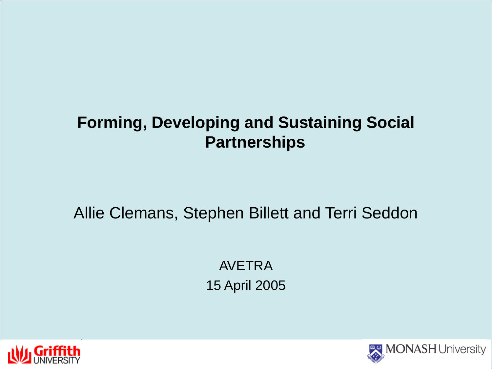# **Forming, Developing and Sustaining Social Partnerships**

Allie Clemans, Stephen Billett and Terri Seddon

AVETRA 15 April 2005



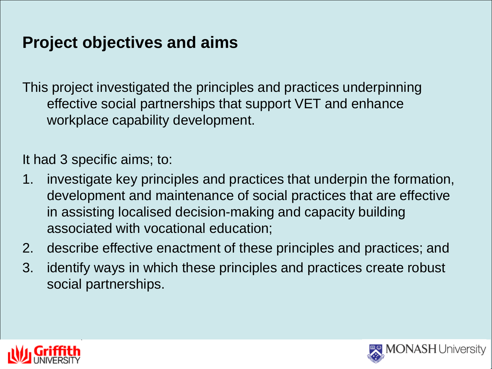# **Project objectives and aims**

This project investigated the principles and practices underpinning effective social partnerships that support VET and enhance workplace capability development.

It had 3 specific aims; to:

- 1. investigate key principles and practices that underpin the formation, development and maintenance of social practices that are effective in assisting localised decision-making and capacity building associated with vocational education;
- 2. describe effective enactment of these principles and practices; and
- 3. identify ways in which these principles and practices create robust social partnerships.



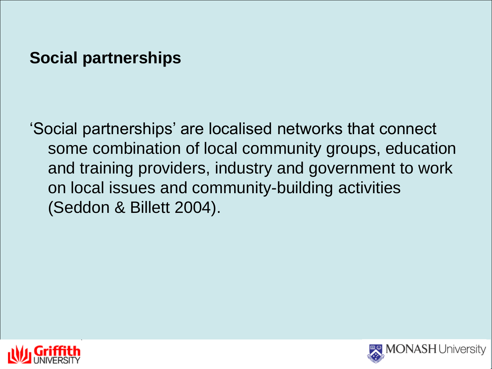# **Social partnerships**

'Social partnerships' are localised networks that connect some combination of local community groups, education and training providers, industry and government to work on local issues and community-building activities (Seddon & Billett 2004).



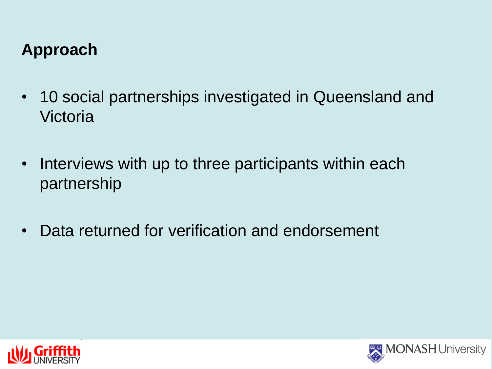# **Approach**

- 10 social partnerships investigated in Queensland and Victoria
- Interviews with up to three participants within each partnership
- Data returned for verification and endorsement



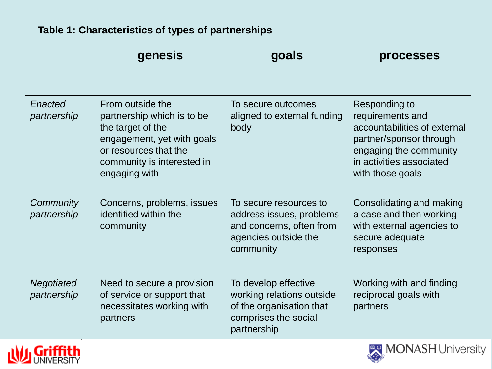#### **Table 1: Characteristics of types of partnerships**

|                           | genesis                                                                                                                                                                   | goals                                                                                                                | processes                                                                                                                                                              |
|---------------------------|---------------------------------------------------------------------------------------------------------------------------------------------------------------------------|----------------------------------------------------------------------------------------------------------------------|------------------------------------------------------------------------------------------------------------------------------------------------------------------------|
| Enacted<br>partnership    | From outside the<br>partnership which is to be<br>the target of the<br>engagement, yet with goals<br>or resources that the<br>community is interested in<br>engaging with | To secure outcomes<br>aligned to external funding<br>body                                                            | Responding to<br>requirements and<br>accountabilities of external<br>partner/sponsor through<br>engaging the community<br>in activities associated<br>with those goals |
| Community<br>partnership  | Concerns, problems, issues<br>identified within the<br>community                                                                                                          | To secure resources to<br>address issues, problems<br>and concerns, often from<br>agencies outside the<br>community  | Consolidating and making<br>a case and then working<br>with external agencies to<br>secure adequate<br>responses                                                       |
| Negotiated<br>partnership | Need to secure a provision<br>of service or support that<br>necessitates working with<br>partners                                                                         | To develop effective<br>working relations outside<br>of the organisation that<br>comprises the social<br>partnership | Working with and finding<br>reciprocal goals with<br>partners                                                                                                          |



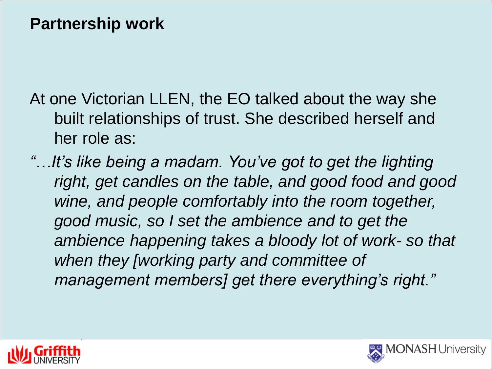## **Partnership work**

At one Victorian LLEN, the EO talked about the way she built relationships of trust. She described herself and her role as:

*"…It's like being a madam. You've got to get the lighting right, get candles on the table, and good food and good wine, and people comfortably into the room together, good music, so I set the ambience and to get the ambience happening takes a bloody lot of work- so that when they [working party and committee of management members] get there everything's right."*



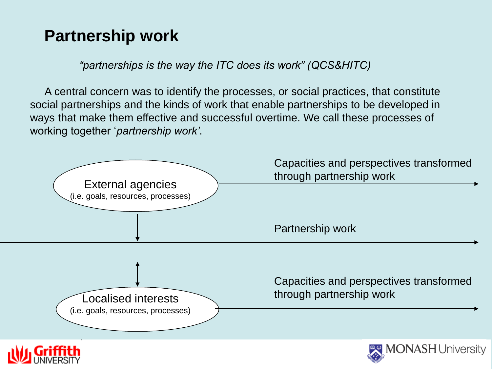# **Partnership work**

*"partnerships is the way the ITC does its work" (QCS&HITC)*

A central concern was to identify the processes, or social practices, that constitute social partnerships and the kinds of work that enable partnerships to be developed in ways that make them effective and successful overtime. We call these processes of working together '*partnership work'*.

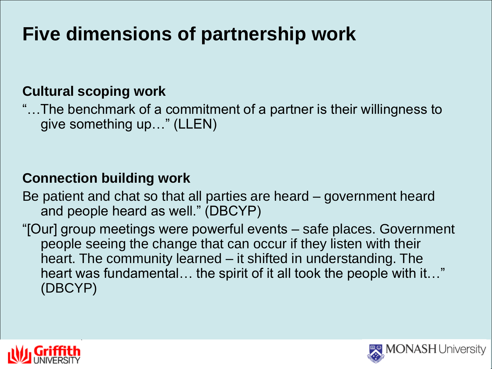# **Five dimensions of partnership work**

## **Cultural scoping work**

"…The benchmark of a commitment of a partner is their willingness to give something up…" (LLEN)

## **Connection building work**

Be patient and chat so that all parties are heard – government heard and people heard as well." (DBCYP)

"[Our] group meetings were powerful events – safe places. Government people seeing the change that can occur if they listen with their heart. The community learned – it shifted in understanding. The heart was fundamental… the spirit of it all took the people with it…" (DBCYP)



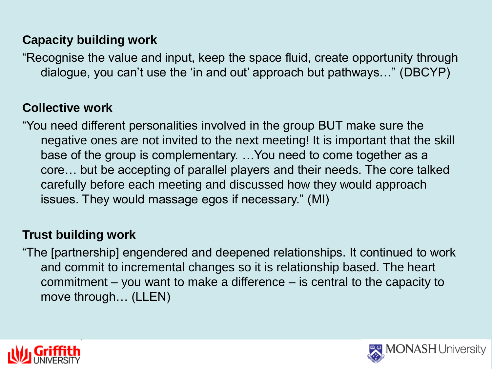### **Capacity building work**

"Recognise the value and input, keep the space fluid, create opportunity through dialogue, you can't use the 'in and out' approach but pathways…" (DBCYP)

### **Collective work**

"You need different personalities involved in the group BUT make sure the negative ones are not invited to the next meeting! It is important that the skill base of the group is complementary. …You need to come together as a core… but be accepting of parallel players and their needs. The core talked carefully before each meeting and discussed how they would approach issues. They would massage egos if necessary." (MI)

#### **Trust building work**

"The [partnership] engendered and deepened relationships. It continued to work and commit to incremental changes so it is relationship based. The heart commitment – you want to make a difference – is central to the capacity to move through… (LLEN)



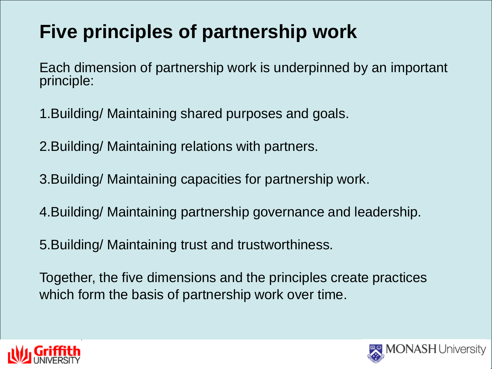# **Five principles of partnership work**

Each dimension of partnership work is underpinned by an important principle:

- 1.Building/ Maintaining shared purposes and goals.
- 2.Building/ Maintaining relations with partners.
- 3.Building/ Maintaining capacities for partnership work.
- 4.Building/ Maintaining partnership governance and leadership.
- 5.Building/ Maintaining trust and trustworthiness.
- Together, the five dimensions and the principles create practices which form the basis of partnership work over time.



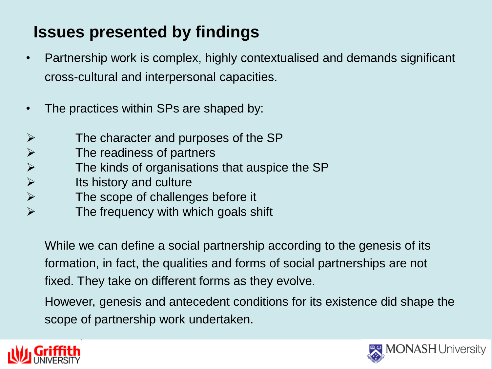# **Issues presented by findings**

- Partnership work is complex, highly contextualised and demands significant cross-cultural and interpersonal capacities.
- The practices within SPs are shaped by:
- $\triangleright$  The character and purposes of the SP
- $\triangleright$  The readiness of partners
- $\triangleright$  The kinds of organisations that auspice the SP
- $\triangleright$  Its history and culture
- $\triangleright$  The scope of challenges before it
- $\triangleright$  The frequency with which goals shift

While we can define a social partnership according to the genesis of its formation, in fact, the qualities and forms of social partnerships are not fixed. They take on different forms as they evolve.

However, genesis and antecedent conditions for its existence did shape the scope of partnership work undertaken.



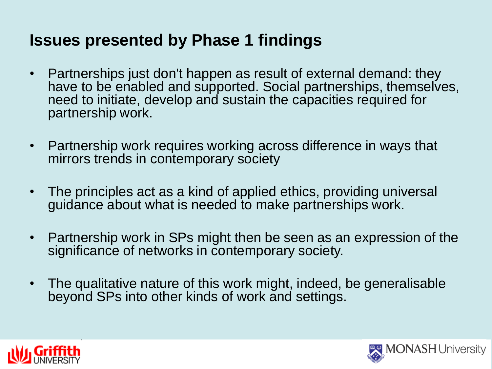# **Issues presented by Phase 1 findings**

- Partnerships just don't happen as result of external demand: they have to be enabled and supported. Social partnerships, themselves, need to initiate, develop and sustain the capacities required for partnership work.
- Partnership work requires working across difference in ways that mirrors trends in contemporary society
- The principles act as a kind of applied ethics, providing universal guidance about what is needed to make partnerships work.
- Partnership work in SPs might then be seen as an expression of the significance of networks in contemporary society.
- The qualitative nature of this work might, indeed, be generalisable beyond SPs into other kinds of work and settings.



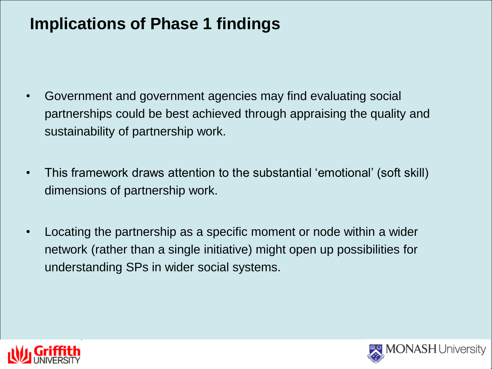# **Implications of Phase 1 findings**

- Government and government agencies may find evaluating social partnerships could be best achieved through appraising the quality and sustainability of partnership work.
- This framework draws attention to the substantial 'emotional' (soft skill) dimensions of partnership work.
- Locating the partnership as a specific moment or node within a wider network (rather than a single initiative) might open up possibilities for understanding SPs in wider social systems.